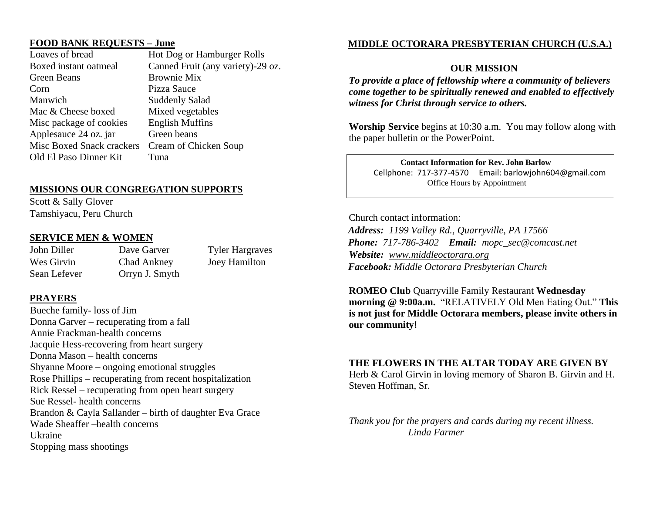## **FOOD BANK REQUESTS – June**

Loaves of bread Hot Dog or Hamburger Rolls Boxed instant oatmeal Canned Fruit (any variety)-29 oz. Green Beans Brownie Mix Corn Pizza Sauce Manwich Suddenly Salad Mac & Cheese boxed Mixed vegetables Misc package of cookies English Muffins Applesauce 24 oz. jar Green beans Misc Boxed Snack crackers Cream of Chicken Soup Old El Paso Dinner Kit Tuna

#### **MISSIONS OUR CONGREGATION SUPPORTS**

Scott & Sally Glover Tamshiyacu, Peru Church

#### **SERVICE MEN & WOMEN**

Sean Lefever Orryn J. Smyth

John Diller Dave Garver Tyler Hargraves Wes Girvin Chad Ankney Joey Hamilton

### **PRAYERS**

Bueche family- loss of Jim Donna Garver – recuperating from a fall Annie Frackman-health concerns Jacquie Hess-recovering from heart surgery Donna Mason – health concerns Shyanne Moore – ongoing emotional struggles Rose Phillips – recuperating from recent hospitalization Rick Ressel – recuperating from open heart surgery Sue Ressel- health concerns Brandon & Cayla Sallander – birth of daughter Eva Grace Wade Sheaffer –health concerns Ukraine Stopping mass shootings

# **MIDDLE OCTORARA PRESBYTERIAN CHURCH (U.S.A.)**

### **OUR MISSION**

*To provide a place of fellowship where a community of believers come together to be spiritually renewed and enabled to effectively witness for Christ through service to others.* 

**Worship Service** begins at 10:30 a.m.You may follow along with the paper bulletin or the PowerPoint.

 **Contact Information for Rev. John Barlow** Cellphone: 717-377-4570 Email: [barlowjohn604@gmail.com](mailto:barlowjohn604@gmail.com) Office Hours by Appointment

Church contact information: *Address: 1199 Valley Rd., Quarryville, PA 17566 Phone: 717-786-3402 Email: mopc\_sec@comcast.net Website: [www.middleoctorara.org](http://www.middleoctorara.org/) Facebook: Middle Octorara Presbyterian Church*

**ROMEO Club** Quarryville Family Restaurant **Wednesday morning @ 9:00a.m.** "RELATIVELY Old Men Eating Out." **This is not just for Middle Octorara members, please invite others in our community!** 

#### **THE FLOWERS IN THE ALTAR TODAY ARE GIVEN BY**

Herb & Carol Girvin in loving memory of Sharon B. Girvin and H. Steven Hoffman, Sr.

*Thank you for the prayers and cards during my recent illness. Linda Farmer*